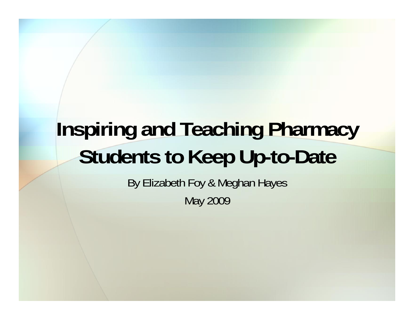# **Inspiring and Teaching Pharmacy Students to Keep Up-to-Date**

By Elizabeth Foy & Meghan Hayes May 2009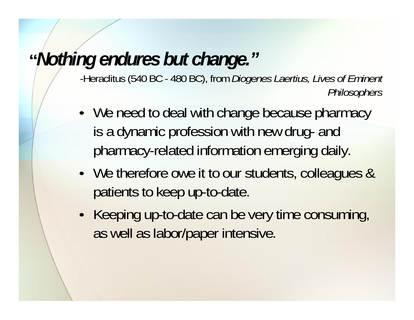# **"***Nothing endures but change."*

-Heraclitus (540 BC - 480 BC), from *Diogenes Laertius, Lives of Eminent Philosophers*

- We need to deal with change because pharmacy is a dynamic profession with new drug- and pharmacy-related information emerging daily.
- We therefore owe it to our students, colleagues & patients to keep up-to-date.
- Keeping up-to-date can be very time consuming, as well as labor/paper intensive.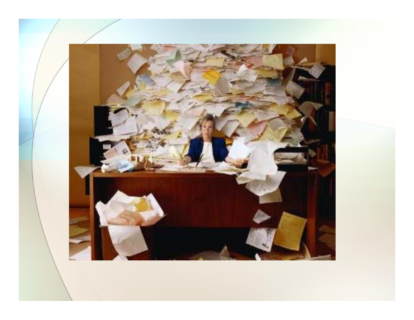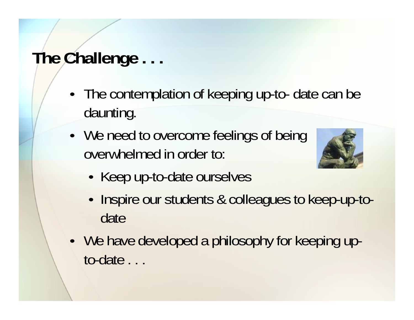# **The Challenge . . .**

- The contemplation of keeping up-to- date can be daunting.
- We need to overcome feelings of being overwhelmed in order to:



- Keep up-to-date ourselves
- Inspire our students & colleagues to keep-up-todate
- We have developed a philosophy for keeping upto-date . . .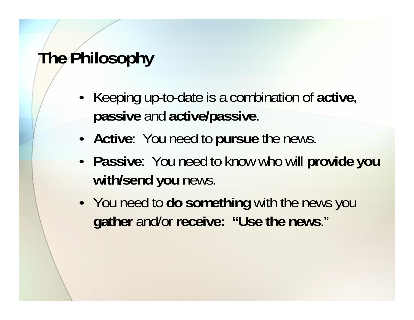#### **The Philosophy**

- Keeping up-to-date is a combination of **active**, **passive** and **active/passive**.
- **Active**: You need to **pursue** the news.
- **Passive**: You need to know who will **provide you with/send you** news.
- You need to **do something** with the news you **gather** and/or **receive: "Use the news**."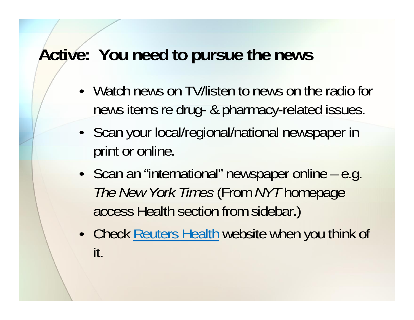#### **Active: You need to pursue the news**

- Watch news on TV/listen to news on the radio for news items re drug- & pharmacy-related issues.
- Scan your local/regional/national newspaper in print or online.
- Scan an "international" newspaper online e.g. *The New York Times* (From *NYT* homepage access Health section from sidebar.)
- Check [Reuters Health](http://www.reutershealth.com/en/index.html) website when you think of it.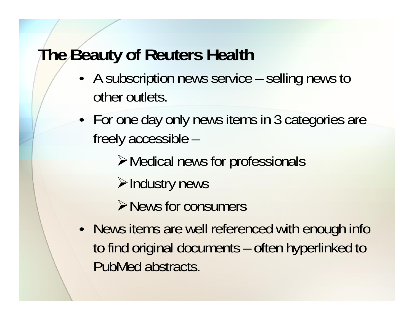## **The Beauty of Reuters Health**

- A subscription news service selling news to other outlets.
- For one day only news items in 3 categories are freely accessible –
	- $\triangleright$  Medical news for professionals
	- $\triangleright$ Industry news
	- ¾News for consumers
- News items are well referenced with enough info to find original documents – often hyperlinked to PubMed abstracts.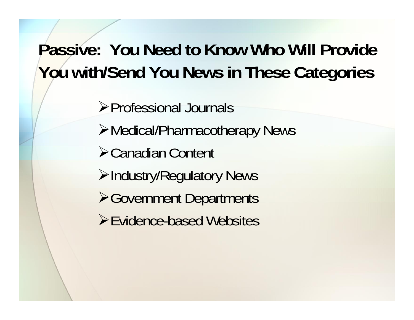# **Passive: You Need to Know Who Will Provide You with/Send You News in These Categories**

Professional JournalsMedical/Pharmacotherapy News Canadian Content Industry/Regulatory News **≻Government Departments** Evidence-based Websites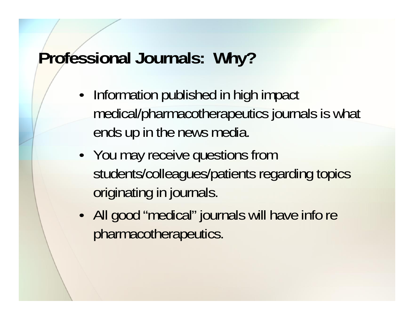## **Professional Journals: Why?**

- Information published in high impact medical/pharmacotherapeutics journals is what ends up in the news media.
- You may receive questions from students/colleagues/patients regarding topics originating in journals.
- All good "medical" journals will have info re pharmacotherapeutics.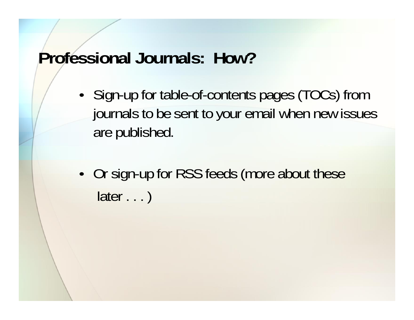#### **Professional Journals: How?**

- Sign-up for table-of-contents pages (TOCs) from journals to be sent to your email when new issues are published.
- Or sign-up for RSS feeds (more about these later . . . )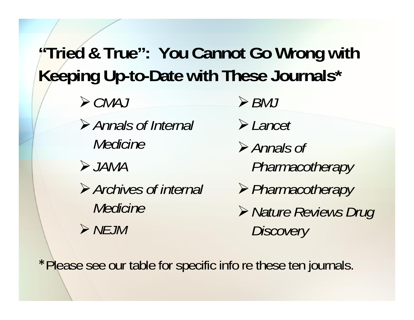# **"Tried & True": You Cannot Go Wrong with Keeping Up-to-Date with These Journals\***

¾*CMAJ*¾*Annals of Internal Medicine*¾*JAMA*¾*Archives of internal Medicine*¾ *NEJM*

¾*BMJ*¾*Lancet*

- ¾*Annals of Pharmacotherapy*
- ¾*Pharmacotherapy*

¾*Nature Reviews Drug Discovery*

\*Please see our table for specific info re these ten journals.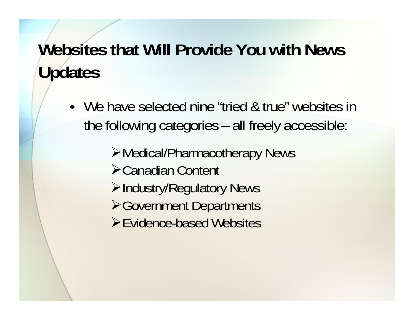# **Websites that Will Provide You with News Updates**

- We have selected nine "tried & true" websites in the following categories – all freely accessible:
	- ¾Medical/Pharmacotherapy News
	- ¾Canadian Content
	- **≻Industry/Regulatory News**
	- ¾Government Departments
	- ¾Evidence-based Websites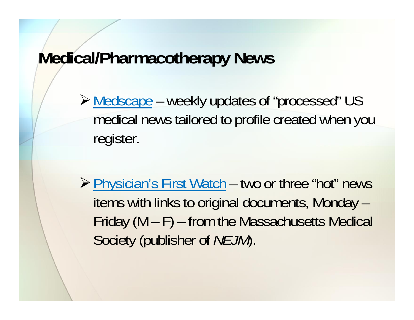#### **Medical/Pharmacotherapy News**

- ¾[Medscape](http://www.medscape.com/medscapetoday) weekly updates of "processed" US medical news tailored to profile created when you register.
- ¾[Physician's First Watch](http://firstwatch.jwatch.org/misc/about.dtl) two or three "hot" news items with links to original documents, Monday – Friday (M – F) – from the Massachusetts Medical Society (publisher of *NEJM*).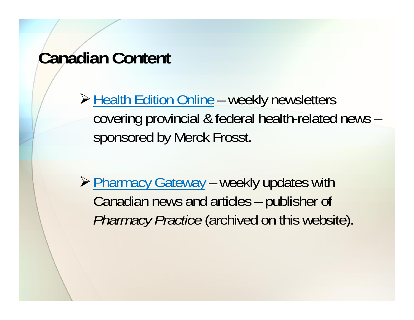#### **Canadian Content**

- ≻ [Health Edition Online](http://www.healthedition.com/) weekly newsletters covering provincial & federal health-related news – sponsored by Merck Frosst.
- ¾[Pharmacy Gateway](http://www.pharmacygateway.ca/) weekly updates with Canadian news and articles – publisher of *Pharmacy Practice* (archived on this website).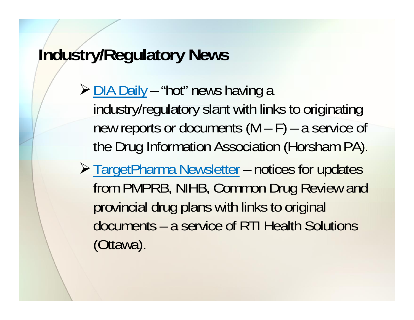#### **Industry/Regulatory News**

- ¾[DIA Daily](http://dia.custombriefings.com/index.aspx) "hot" news having a industry/regulatory slant with links to originating new reports or documents  $(M - F) - a$  service of the Drug Information Association (Horsham PA).
- ¾[TargetPharma Newsletter](http://www.pdci.on.ca/targetpharma.htm) notices for updates from PMPRB, NIHB, Common Drug Review and provincial drug plans with links to original documents – a service of RTI Health Solutions (Ottawa).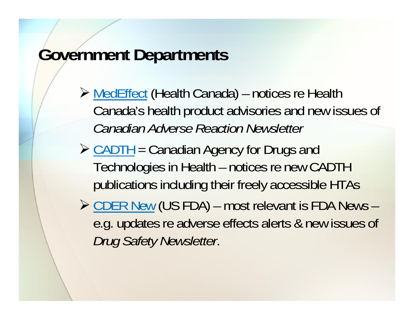#### **Government Departments**

- ¾ [MedEffect](http://www.hc-sc.gc.ca/dhp-mps/medeff/index-eng.php) (Health Canada) notices re Health Canada's health product advisories and new issues of *Canadian Adverse Reaction Newsletter*
- ▶ [CADTH](http://www.cadth.ca/) = Canadian Agency for Drugs and Technologies in Health – notices re new CADTH publications including their freely accessible HTAs
- ▶ [CDER New](http://www.fda.gov/CDER/whatsnew.htm) (US FDA) most relevant is FDA News e.g. updates re adverse effects alerts & new issues of *Drug Safety Newsletter*.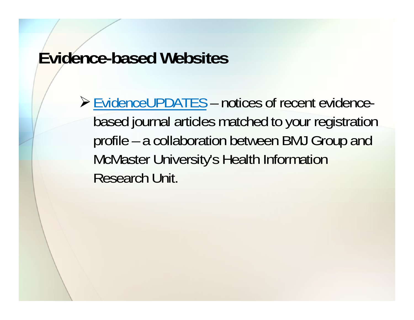#### **Evidence-based Websites**

¾[EvidenceUPDATES](http://plus.mcmaster.ca/EvidenceUpdates/) – notices of recent evidencebased journal articles matched to your registration profile – a collaboration between BMJ Group and McMaster University's Health Information Research Unit.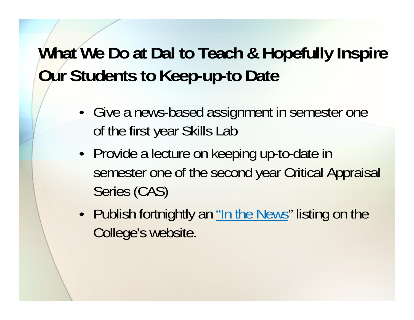# **What We Do at Dal to Teach & Hopefully Inspire Our Students to Keep-up-to Date**

- Give a news-based assignment in semester one of the first year Skills Lab
- Provide a lecture on keeping up-to-date in semester one of the second year Critical Appraisal Series (CAS)
- Publish fortnightly an ["In the News](http://pharmacy.dal.ca/Resources/IN THE NEWS/index.php)" listing on the College's website.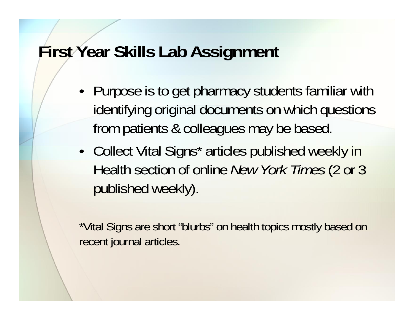## **First Year Skills Lab Assignment**

- Purpose is to get pharmacy students familiar with identifying original documents on which questions from patients & colleagues may be based.
- Collect Vital Signs\* articles published weekly in Health section of online *New York Times* (2 or 3 published weekly).

\*Vital Signs are short "blurbs" on health topics mostly based on recent journal articles.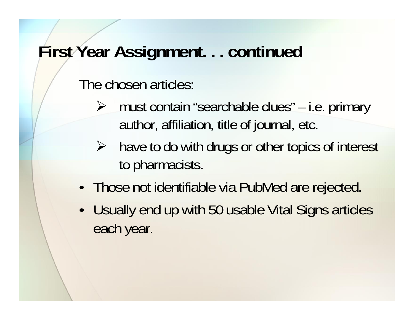#### **First Year Assignment. . . continued**

The chosen articles:

- ¾ must contain "searchable clues" – i.e. primary author, affiliation, title of journal, etc.
- ¾ have to do with drugs or other topics of interest to pharmacists.
- Those not identifiable via PubMed are rejected.
- Usually end up with 50 usable Vital Signs articles each year.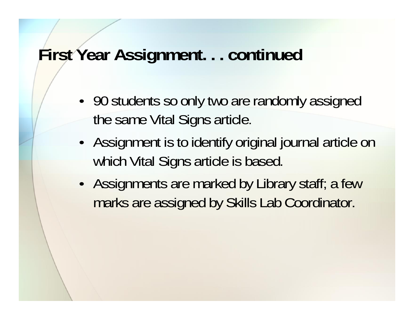#### **First Year Assignment. . . continued**

- 90 students so only two are randomly assigned the same Vital Signs article.
- Assignment is to identify original journal article on which Vital Signs article is based.
- Assignments are marked by Library staff; a few marks are assigned by Skills Lab Coordinator.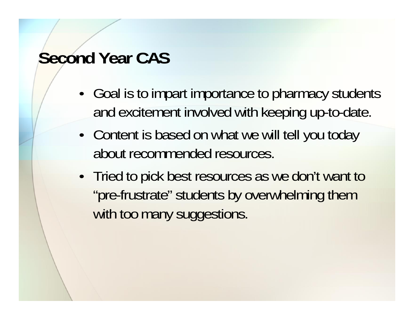#### **Second Year CAS**

- Goal is to impart importance to pharmacy students and excitement involved with keeping up-to-date.
- Content is based on what we will tell you today about recommended resources.
- Tried to pick best resources as we don't want to "pre-frustrate" students by overwhelming them with too many suggestions.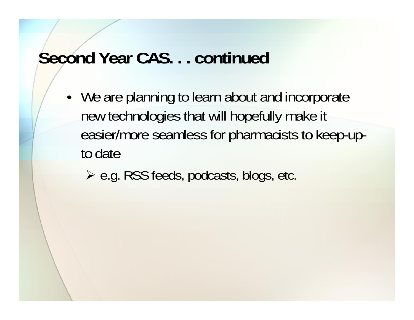#### **Second Year CAS. . . continued**

- We are planning to learn about and incorporate new technologies that will hopefully make it easier/more seamless for pharmacists to keep-upto date
	- ¾ e.g. RSS feeds, podcasts, blogs, etc.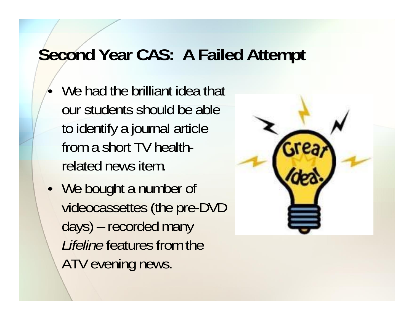#### **Second Year CAS: A Failed Attempt**

- We had the brilliant idea that our students should be able to identify a journal article from a short TV healthrelated news item.
- We bought a number of videocassettes (the pre-DVD days) – recorded many *Lifeline* features from the ATV evening news.

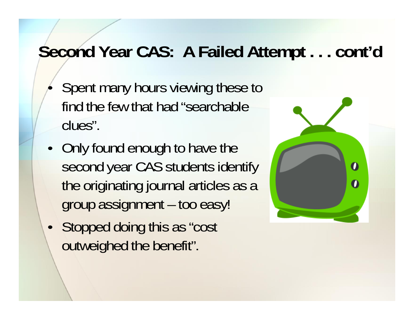# **Second Year CAS: A Failed Attempt . . . cont'd**

- Spent many hours viewing these to find the few that had "searchable clues".
- Only found enough to have the second year CAS students identify the originating journal articles as a group assignment – too easy!
- Stopped doing this as "cost outweighed the benefit".

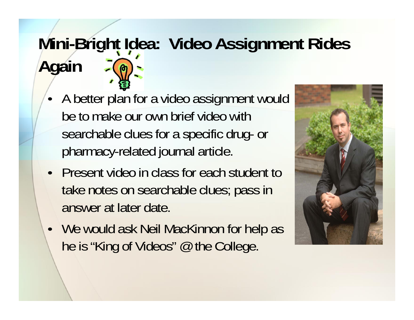# **Mini-Bright Idea: Video Assignment Rides Again**

- A better plan for a video assignment would be to make our own brief video with searchable clues for a specific drug- or pharmacy-related journal article.
- Present video in class for each student to take notes on searchable clues; pass in answer at later date.
- We would ask Neil MacKinnon for help as he is "King of Videos" @ the College.

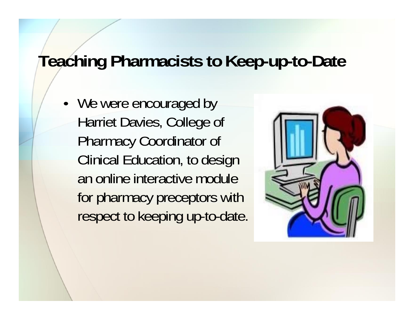#### **Teaching Pharmacists to Keep-up-to-Date**

• We were encouraged by Harriet Davies, College of Pharmacy Coordinator of Clinical Education, to design an online interactive module for pharmacy preceptors with respect to keeping up-to-date.

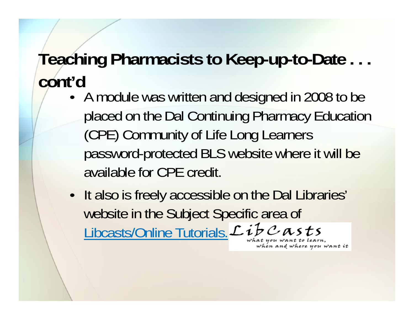# **Teaching Pharmacists to Keep-up-to-Date . . . cont'd**

- A module was written and designed in 2008 to be placed on the Dal Continuing Pharmacy Education (CPE) Community of Life Long Learners password-protected BLS website where it will be available for CPE credit.
- It also is freely accessible on the Dal Libraries' website in the Subject Specific area of [Libcasts/Online Tutorials.](http://www.library.dal.ca/How/LibCasts/) Libcasts

what you want to learn, when and where you want it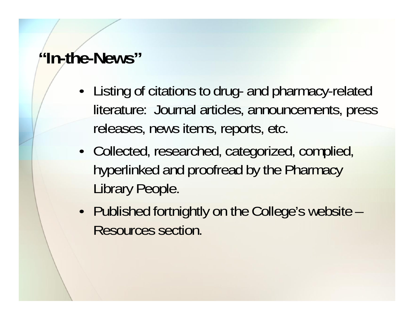#### **"In-the-News"**

- Listing of citations to drug- and pharmacy-related literature: Journal articles, announcements, press releases, news items, reports, etc.
- Collected, researched, categorized, complied, hyperlinked and proofread by the Pharmacy Library People.
- Published fortnightly on the College's website Resources section.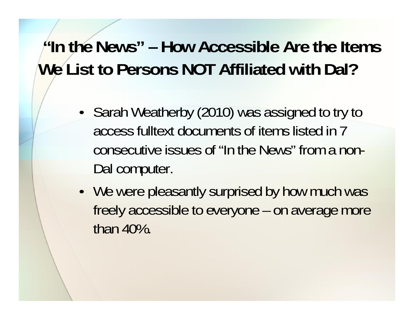# **"In the News" – How Accessible Are the Items We List to Persons NOT Affiliated with Dal?**

- Sarah Weatherby (2010) was assigned to try to access fulltext documents of items listed in 7 consecutive issues of "In the News" from a non-Dal computer.
- We were pleasantly surprised by how much was freely accessible to everyone – on average more than 40%.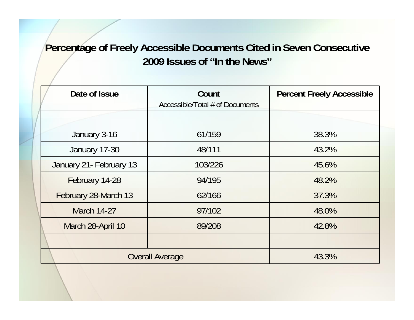#### **Percentage of Freely Accessible Documents Cited in Seven Consecutive 2009 Issues of "In the News"**

| Date of Issue           | Count<br>Accessible/Total # of Documents | <b>Percent Freely Accessible</b> |
|-------------------------|------------------------------------------|----------------------------------|
|                         |                                          |                                  |
| January 3-16            | 61/159                                   | 38.3%                            |
| January 17-30           | 48/111                                   | 43.2%                            |
| January 21- February 13 | 103/226                                  | 45.6%                            |
| February 14-28          | 94/195                                   | 48.2%                            |
| February 28-March 13    | 62/166                                   | 37.3%                            |
| <b>March 14-27</b>      | 97/102                                   | 48.0%                            |
| March 28-April 10       | 89/208                                   | 42.8%                            |
|                         |                                          |                                  |
| <b>Overall Average</b>  |                                          | 43.3%                            |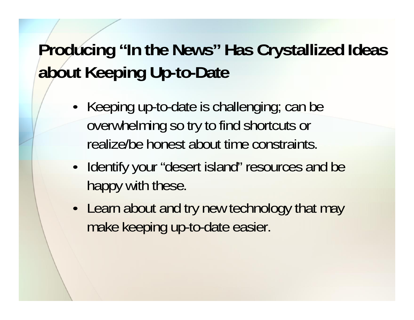# **Producing "In the News" Has Crystallized Ideas about Keeping Up-to-Date**

- Keeping up-to-date is challenging; can be overwhelming so try to find shortcuts or realize/be honest about time constraints.
- Identify your "desert island" resources and be happy with these.
- Learn about and try new technology that may make keeping up-to-date easier.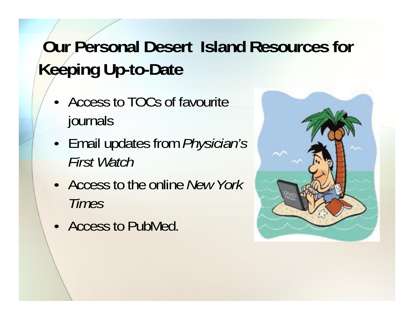# **Our Personal Desert Island Resources for Keeping Up-to-Date**

- Access to TOCs of favourite journals
- Email updates from *Physician's First Watch*
- Access to the online *New York Times*
- Access to PubMed.

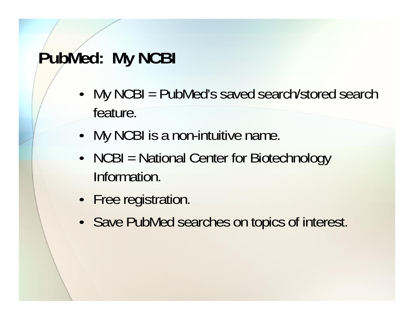# **PubMed: My NCBI**

- My NCBI = PubMed's saved search/stored search feature.
- My NCBI is a non-intuitive name.
- NCBI = National Center for Biotechnology Information.
- Free registration.
- Save PubMed searches on topics of interest.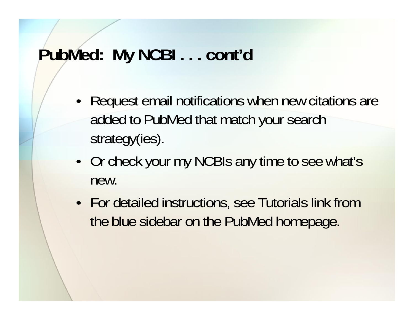# **PubMed: My NCBI . . . cont'd**

- Request email notifications when new citations are added to PubMed that match your search strategy(ies).
- Or check your my NCBIs any time to see what's new.
- For detailed instructions, see Tutorials link from the blue sidebar on the PubMed homepage.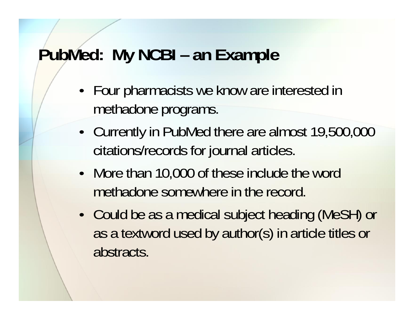## **PubMed: My NCBI – an Example**

- Four pharmacists we know are interested in methadone programs.
- Currently in PubMed there are almost 19,500,000 citations/records for journal articles.
- More than 10,000 of these include the word methadone somewhere in the record.
- Could be as a medical subject heading (MeSH) or as a textword used by author(s) in article titles or abstracts.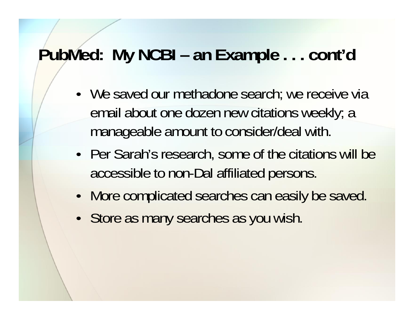#### **PubMed: My NCBI – an Example . . . cont'd**

- We saved our methadone search; we receive via email about one dozen new citations weekly; a manageable amount to consider/deal with.
- Per Sarah's research, some of the citations will be accessible to non-Dal affiliated persons.
- More complicated searches can easily be saved.
- Store as many searches as you wish.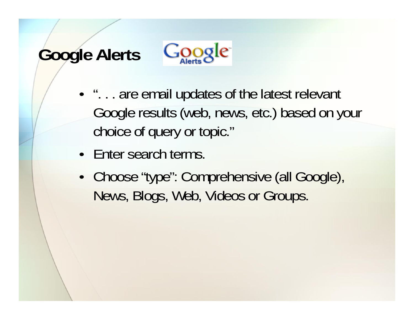# **Google Alerts**

 $\mathbf{e}$ 

- ". . . are email updates of the latest relevant Google results (web, news, etc.) based on your choice of query or topic."
- Enter search terms.
- Choose "type": Comprehensive (all Google), News, Blogs, Web, Videos or Groups.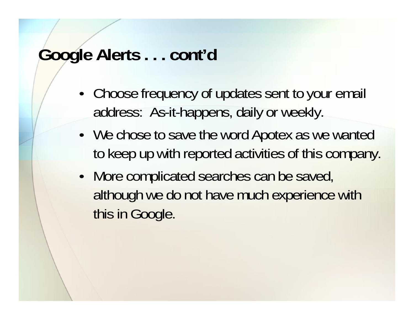#### **Google Alerts . . . cont'd**

- Choose frequency of updates sent to your email address: As-it-happens, daily or weekly.
- We chose to save the word Apotex as we wanted to keep up with reported activities of this company.
- More complicated searches can be saved, although we do not have much experience with this in Google.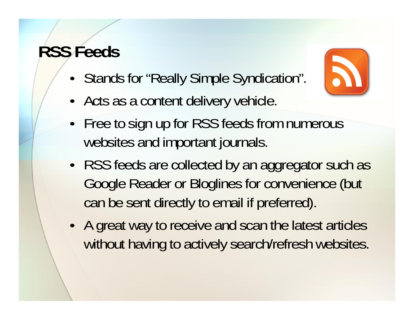# **RSS Feeds**

- Stands for "Really Simple Syndication".
- Acts as a content delivery vehicle.
- Free to sign up for RSS feeds from numerous websites and important journals.
- RSS feeds are collected by an aggregator such as Google Reader or Bloglines for convenience (but can be sent directly to email if preferred).
- A great way to receive and scan the latest articles without having to actively search/refresh websites.

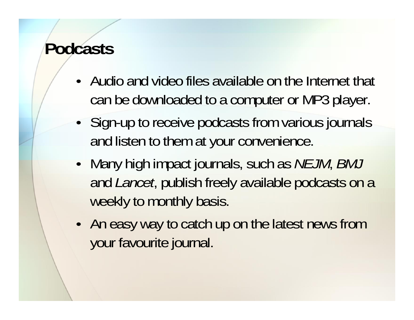### **Podcasts**

- Audio and video files available on the Internet that can be downloaded to a computer or MP3 player.
- Sign-up to receive podcasts from various journals and listen to them at your convenience.
- Many high impact journals, such as *NEJM*, *BMJ*  and *Lancet*, publish freely available podcasts on a weekly to monthly basis.
- An easy way to catch up on the latest news from your favourite journal.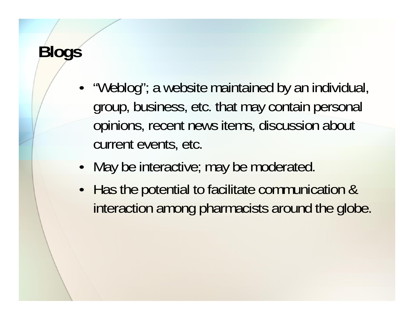# **Blogs**

- "Weblog"; a website maintained by an individual, group, business, etc. that may contain personal opinions, recent news items, discussion about current events, etc.
- May be interactive; may be moderated.
- Has the potential to facilitate communication & interaction among pharmacists around the globe.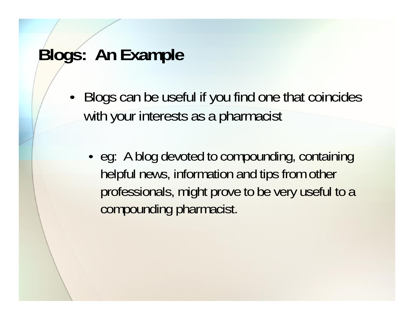#### **Blogs: An Example**

- Blogs can be useful if you find one that coincides with your interests as a pharmacist
	- eg: A blog devoted to compounding, containing helpful news, information and tips from other professionals, might prove to be very useful to a compounding pharmacist.